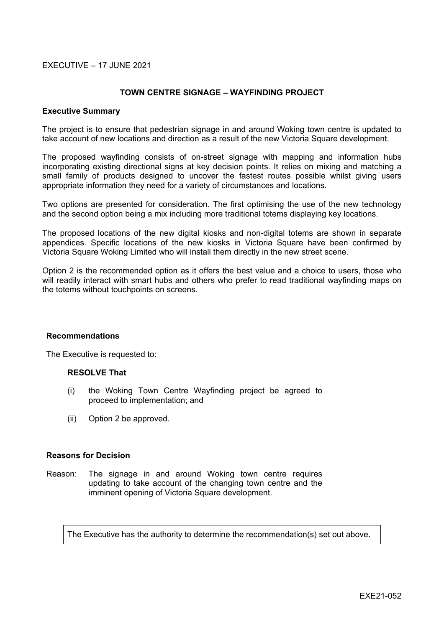### EXECUTIVE – 17 JUNE 2021

### **TOWN CENTRE SIGNAGE – WAYFINDING PROJECT**

#### **Executive Summary**

The project is to ensure that pedestrian signage in and around Woking town centre is updated to take account of new locations and direction as a result of the new Victoria Square development.

The proposed wayfinding consists of on-street signage with mapping and information hubs incorporating existing directional signs at key decision points. It relies on mixing and matching a small family of products designed to uncover the fastest routes possible whilst giving users appropriate information they need for a variety of circumstances and locations.

Two options are presented for consideration. The first optimising the use of the new technology and the second option being a mix including more traditional totems displaying key locations.

The proposed locations of the new digital kiosks and non-digital totems are shown in separate appendices. Specific locations of the new kiosks in Victoria Square have been confirmed by Victoria Square Woking Limited who will install them directly in the new street scene.

Option 2 is the recommended option as it offers the best value and a choice to users, those who will readily interact with smart hubs and others who prefer to read traditional wayfinding maps on the totems without touchpoints on screens.

#### **Recommendations**

The Executive is requested to:

#### **RESOLVE That**

- (i) the Woking Town Centre Wayfinding project be agreed to proceed to implementation; and
- (ii) Option 2 be approved.

### **Reasons for Decision**

Reason: The signage in and around Woking town centre requires updating to take account of the changing town centre and the imminent opening of Victoria Square development.

The Executive has the authority to determine the recommendation(s) set out above.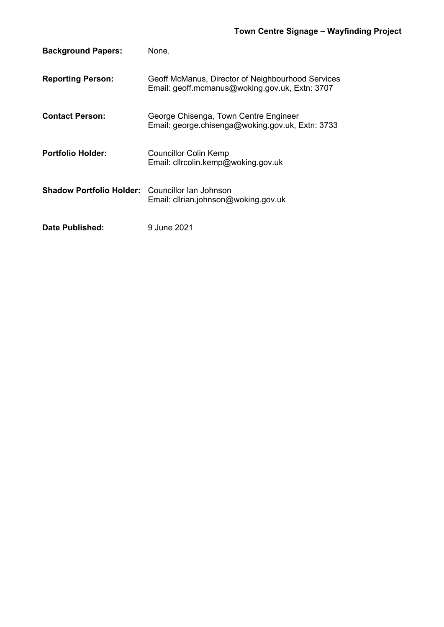| <b>Background Papers:</b>                              | None.                                                                                               |
|--------------------------------------------------------|-----------------------------------------------------------------------------------------------------|
| <b>Reporting Person:</b>                               | Geoff McManus, Director of Neighbourhood Services<br>Email: geoff.mcmanus@woking.gov.uk, Extn: 3707 |
| <b>Contact Person:</b>                                 | George Chisenga, Town Centre Engineer<br>Email: george.chisenga@woking.gov.uk, Extn: 3733           |
| <b>Portfolio Holder:</b>                               | <b>Councillor Colin Kemp</b><br>Email: clircolin.kemp@woking.gov.uk                                 |
| <b>Shadow Portfolio Holder:</b> Councillor lan Johnson | Email: clirian.johnson@woking.gov.uk                                                                |
| Date Published:                                        | 9 June 2021                                                                                         |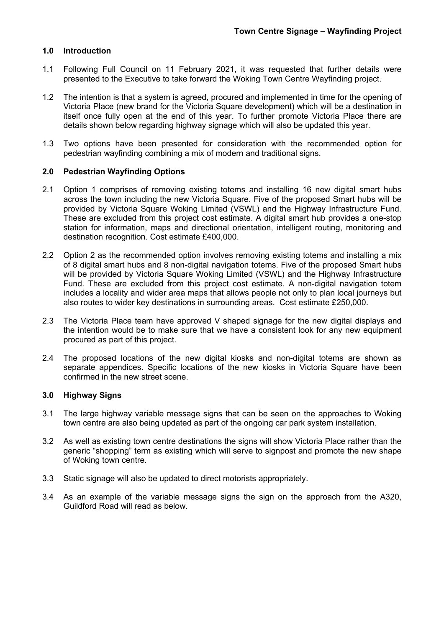# **1.0 Introduction**

- 1.1 Following Full Council on 11 February 2021, it was requested that further details were presented to the Executive to take forward the Woking Town Centre Wayfinding project.
- 1.2 The intention is that a system is agreed, procured and implemented in time for the opening of Victoria Place (new brand for the Victoria Square development) which will be a destination in itself once fully open at the end of this year. To further promote Victoria Place there are details shown below regarding highway signage which will also be updated this year.
- 1.3 Two options have been presented for consideration with the recommended option for pedestrian wayfinding combining a mix of modern and traditional signs.

## **2.0 Pedestrian Wayfinding Options**

- 2.1 Option 1 comprises of removing existing totems and installing 16 new digital smart hubs across the town including the new Victoria Square. Five of the proposed Smart hubs will be provided by Victoria Square Woking Limited (VSWL) and the Highway Infrastructure Fund. These are excluded from this project cost estimate. A digital smart hub provides a one-stop station for information, maps and directional orientation, intelligent routing, monitoring and destination recognition. Cost estimate £400,000.
- 2.2 Option 2 as the recommended option involves removing existing totems and installing a mix of 8 digital smart hubs and 8 non-digital navigation totems. Five of the proposed Smart hubs will be provided by Victoria Square Woking Limited (VSWL) and the Highway Infrastructure Fund. These are excluded from this project cost estimate. A non-digital navigation totem includes a locality and wider area maps that allows people not only to plan local journeys but also routes to wider key destinations in surrounding areas. Cost estimate £250,000.
- 2.3 The Victoria Place team have approved V shaped signage for the new digital displays and the intention would be to make sure that we have a consistent look for any new equipment procured as part of this project.
- 2.4 The proposed locations of the new digital kiosks and non-digital totems are shown as separate appendices. Specific locations of the new kiosks in Victoria Square have been confirmed in the new street scene.

## **3.0 Highway Signs**

- 3.1 The large highway variable message signs that can be seen on the approaches to Woking town centre are also being updated as part of the ongoing car park system installation.
- 3.2 As well as existing town centre destinations the signs will show Victoria Place rather than the generic "shopping" term as existing which will serve to signpost and promote the new shape of Woking town centre.
- 3.3 Static signage will also be updated to direct motorists appropriately.
- 3.4 As an example of the variable message signs the sign on the approach from the A320, Guildford Road will read as below.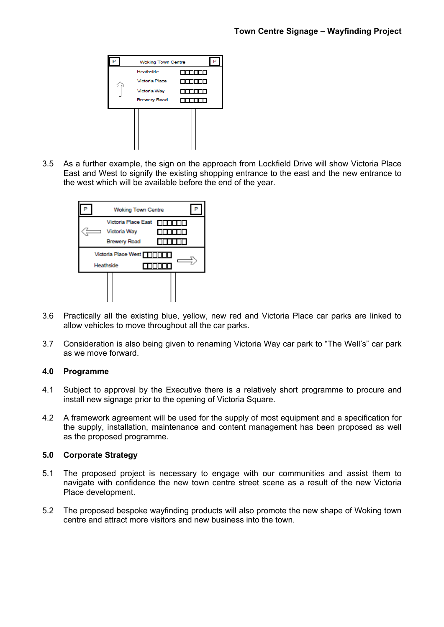

3.5 As a further example, the sign on the approach from Lockfield Drive will show Victoria Place East and West to signify the existing shopping entrance to the east and the new entrance to the west which will be available before the end of the year.



- 3.6 Practically all the existing blue, yellow, new red and Victoria Place car parks are linked to allow vehicles to move throughout all the car parks.
- 3.7 Consideration is also being given to renaming Victoria Way car park to "The Well's" car park as we move forward.

## **4.0 Programme**

- 4.1 Subject to approval by the Executive there is a relatively short programme to procure and install new signage prior to the opening of Victoria Square.
- 4.2 A framework agreement will be used for the supply of most equipment and a specification for the supply, installation, maintenance and content management has been proposed as well as the proposed programme.

## **5.0 Corporate Strategy**

- 5.1 The proposed project is necessary to engage with our communities and assist them to navigate with confidence the new town centre street scene as a result of the new Victoria Place development.
- 5.2 The proposed bespoke wayfinding products will also promote the new shape of Woking town centre and attract more visitors and new business into the town.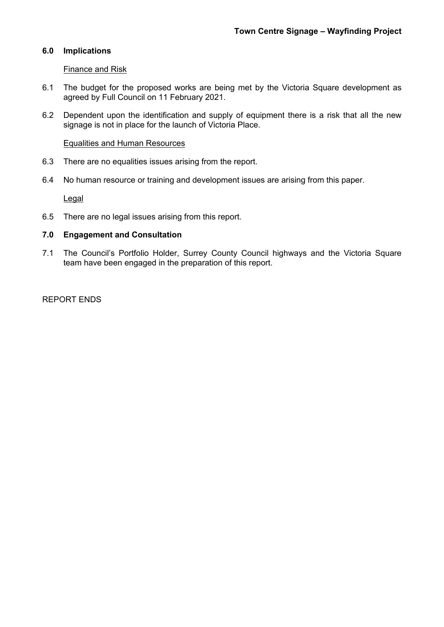# **6.0 Implications**

### Finance and Risk

- 6.1 The budget for the proposed works are being met by the Victoria Square development as agreed by Full Council on 11 February 2021.
- 6.2 Dependent upon the identification and supply of equipment there is a risk that all the new signage is not in place for the launch of Victoria Place.

### Equalities and Human Resources

- 6.3 There are no equalities issues arising from the report.
- 6.4 No human resource or training and development issues are arising from this paper.

**Legal** 

6.5 There are no legal issues arising from this report.

### **7.0 Engagement and Consultation**

7.1 The Council's Portfolio Holder, Surrey County Council highways and the Victoria Square team have been engaged in the preparation of this report.

REPORT ENDS